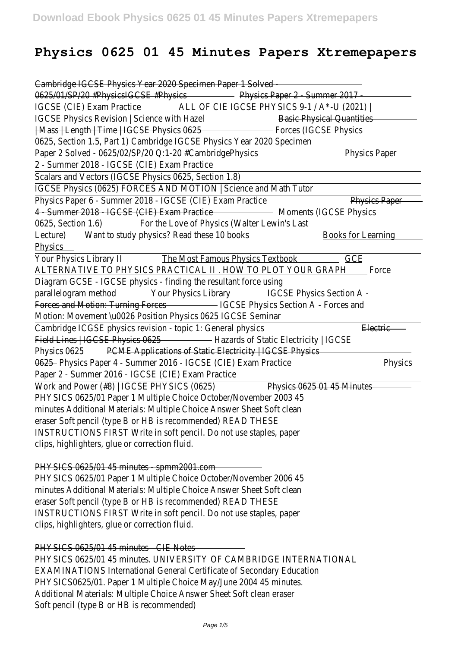# **Physics 0625 01 45 Minutes Papers Xtremepapers**

| Cambridge IGCSE Physics Year 2020 Specimen Paper 1 Solved                        |                                  |  |
|----------------------------------------------------------------------------------|----------------------------------|--|
| 0625/01/SP/20 #PhysicsIGCSE #Physics                                             | Physics Paper 2 Summer 2017      |  |
| <b>IGCSE (CIE) Exam Practice</b><br>ALL OF CIE IGCSE PHYSICS 9-1 / A*-U (2021)   |                                  |  |
| <b>IGCSE Physics Revision   Science with Hazel</b>                               | <b>Basic Physical Quantities</b> |  |
| Mass   Length   Time   IGCSE Physics 0625                                        | <b>Forces (IGCSE Physics</b>     |  |
| 0625, Section 1.5, Part 1) Cambridge IGCSE Physics Year 2020 Specimen            |                                  |  |
| Paper 2 Solved - 0625/02/SP/20 0:1-20 #CambridgePhysics                          | <b>Physics Paper</b>             |  |
| 2 - Summer 2018 - IGCSE (CIE) Exam Practice                                      |                                  |  |
| Scalars and Vectors (IGCSE Physics 0625, Section 1.8)                            |                                  |  |
| IGCSE Physics (0625) FORCES AND MOTION   Science and Math Tutor                  |                                  |  |
| Physics Paper 6 - Summer 2018 - IGCSE (CIE) Exam Practice                        | <b>Physics Paper</b>             |  |
| 4 - Summer 2018 - IGCSE (CIE) Exam Practice                                      | <b>Moments (IGCSE Physics</b>    |  |
| 0625, Section 1.6)<br>For the Love of Physics (Walter Lewin's Last               |                                  |  |
| Want to study physics? Read these 10 books<br>Lecture)                           | <b>Books for Learning</b>        |  |
| <b>Physics</b>                                                                   |                                  |  |
| <b>The Most Famous Physics Textbook</b><br><b>Your Physics Library II</b>        | GCE                              |  |
| ALTERNATIVE TO PHYSICS PRACTICAL II . HOW TO PLOT YOUR GRAPH                     | Force                            |  |
| Diagram GCSE - IGCSE physics - finding the resultant force using                 |                                  |  |
| parallelogram method<br><b>Your Physics Library</b>                              | <b>IGCSE Physics Section A</b>   |  |
| Forces and Motion: Turning Forces<br><b>IGCSE Physics Section A - Forces and</b> |                                  |  |
| Motion: Movement \u0026 Position Physics 0625 IGCSE Seminar                      |                                  |  |
| Cambridge ICGSE physics revision - topic 1: General physics                      | <b>Electric</b>                  |  |
| Field Lines   IGCSE Physics 0625<br>- Hazards of Static Electricity   IGCSE      |                                  |  |
| <b>PCME Applications of Static Electricity   IGCSE Physics</b><br>Physics 0625   |                                  |  |
| 0625 - Physics Paper 4 - Summer 2016 - IGCSE (CIE) Exam Practice                 | <b>Physics</b>                   |  |
| Paper 2 - Summer 2016 - IGCSE (CIE) Exam Practice                                |                                  |  |
| Work and Power (#8)   IGCSE PHYSICS (0625)                                       | Physics 0625 01 45 Minutes       |  |
| PHYSICS 0625/01 Paper 1 Multiple Choice October/November 2003 45                 |                                  |  |
| minutes Additional Materials: Multiple Choice Answer Sheet Soft clean            |                                  |  |
| eraser Soft pencil (type B or HB is recommended) READ THESE                      |                                  |  |
| INSTRUCTIONS FIRST Write in soft pencil. Do not use staples, paper               |                                  |  |
| clips, highlighters, glue or correction fluid.                                   |                                  |  |
|                                                                                  |                                  |  |
| PHYSICS 0625/01 45 minutes spmm2001.com                                          |                                  |  |
| PHYSICS 0625/01 Paper 1 Multiple Choice October/November 2006 45                 |                                  |  |
| minutes Additional Materials: Multiple Choice Answer Sheet Soft clean            |                                  |  |
| eraser Soft pencil (type B or HB is recommended) READ THESE                      |                                  |  |
| INSTRUCTIONS FIRST Write in soft pencil. Do not use staples, paper               |                                  |  |
| clips, highlighters, glue or correction fluid.                                   |                                  |  |
|                                                                                  |                                  |  |
| PHYSICS 0625/01 45 minutes - CIE Notes                                           |                                  |  |
| PHYSICS 0625/01 45 minutes. UNIVERSITY OF CAMBRIDGE INTERNATIONAL                |                                  |  |
| <b>EXAMINATIONS International General Certificate of Secondary Education</b>     |                                  |  |
| PHYSICS0625/01. Paper 1 Multiple Choice May/June 2004 45 minutes.                |                                  |  |
| Additional Materials: Multiple Choice Answer Sheet Soft clean eraser             |                                  |  |
| Soft pencil (type B or HB is recommended)                                        |                                  |  |
|                                                                                  |                                  |  |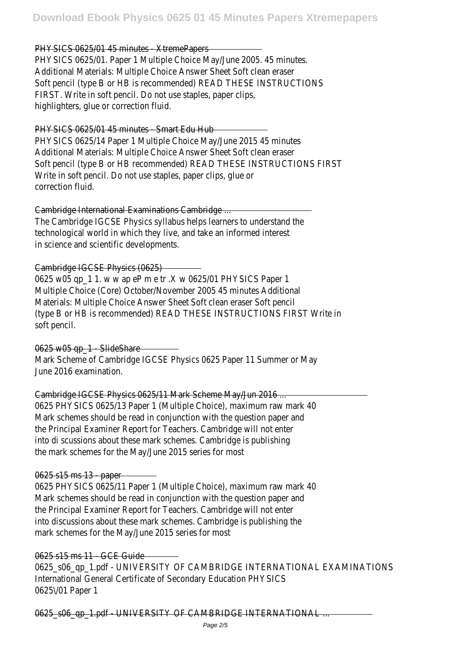#### PHYSICS 0625/01 45 minutes XtremePapers

PHYSICS 0625/01. Paper 1 Multiple Choice May/June 2005. 45 minutes. Additional Materials: Multiple Choice Answer Sheet Soft clean eraser Soft pencil (type B or HB is recommended) READ THESE INSTRUCTIONS FIRST. Write in soft pencil. Do not use staples, paper clips, highlighters, glue or correction fluid.

#### PHYSICS 0625/01 45 minutes Smart Edu Hub

PHYSICS 0625/14 Paper 1 Multiple Choice May/June 2015 45 minutes Additional Materials: Multiple Choice Answer Sheet Soft clean eraser Soft pencil (type B or HB recommended) READ THESE INSTRUCTIONS FIRST Write in soft pencil. Do not use staples, paper clips, glue or correction fluid.

#### Cambridge International Examinations Cambridge ...

The Cambridge IGCSE Physics syllabus helps learners to understand the technological world in which they live, and take an informed interest in science and scientific developments.

Cambridge IGCSE Physics (0625)

0625 w05 qp\_1 1. w w ap eP m e tr .X w 0625/01 PHYSICS Paper 1 Multiple Choice (Core) October/November 2005 45 minutes Additional Materials: Multiple Choice Answer Sheet Soft clean eraser Soft pencil (type B or HB is recommended) READ THESE INSTRUCTIONS FIRST Write in soft pencil.

0625 w05 ap 1 - SlideShare Mark Scheme of Cambridge IGCSE Physics 0625 Paper 11 Summer or May June 2016 examination.

## Cambridge IGCSE Physics 0625/11 Mark Scheme May/Jun 2016 ...

0625 PHYSICS 0625/13 Paper 1 (Multiple Choice), maximum raw mark 40 Mark schemes should be read in conjunction with the question paper and the Principal Examiner Report for Teachers. Cambridge will not enter into di scussions about these mark schemes. Cambridge is publishing the mark schemes for the May/June 2015 series for most

#### 0625 s15 ms 13 - paper

0625 PHYSICS 0625/11 Paper 1 (Multiple Choice), maximum raw mark 40 Mark schemes should be read in conjunction with the question paper and the Principal Examiner Report for Teachers. Cambridge will not enter into discussions about these mark schemes. Cambridge is publishing the mark schemes for the May/June 2015 series for most

0625 s15 ms 11 - GCE Guide 0625\_s06\_qp\_1.pdf - UNIVERSITY OF CAMBRIDGE INTERNATIONAL EXAMINATIONS International General Certificate of Secondary Education PHYSICS 0625\/01 Paper 1

0625\_s06\_gp\_1.pdf - UNIVERSITY OF CAMBRIDGE INTERNATIONAL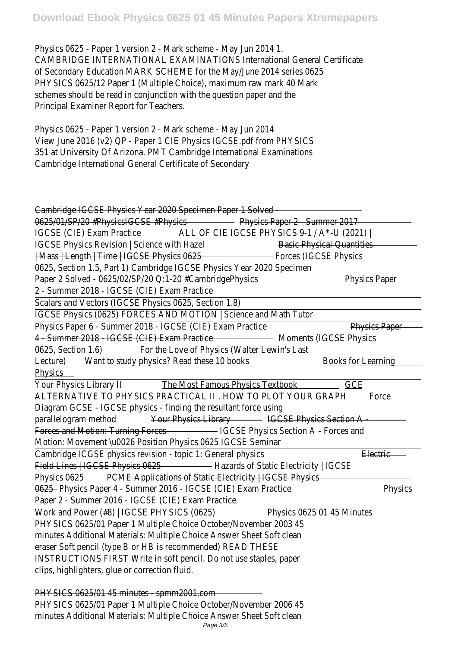Physics 0625 - Paper 1 version 2 - Mark scheme - May Jun 2014 1. CAMBRIDGE INTERNATIONAL EXAMINATIONS International General Certificate of Secondary Education MARK SCHEME for the May/June 2014 series 0625 PHYSICS 0625/12 Paper 1 (Multiple Choice), maximum raw mark 40 Mark schemes should be read in conjunction with the question paper and the Principal Examiner Report for Teachers.

Physics 0625 Paper 1 version 2 Mark scheme May Jun 2014 View June 2016 (v2) QP - Paper 1 CIE Physics IGCSE.pdf from PHYSICS 351 at University Of Arizona. PMT Cambridge International Examinations Cambridge International General Certificate of Secondary

| Cambridge IGCSE Physics Year 2020 Specimen Paper 1 Solved                               |                                  |  |
|-----------------------------------------------------------------------------------------|----------------------------------|--|
| Physics Paper 2 Summer 2017<br>0625/01/SP/20 #PhysicsIGCSE #Physics                     |                                  |  |
| <b>IGCSE (CIE) Exam Practice</b><br>ALL OF CIE IGCSE PHYSICS 9-1 / A*-U (2021)          |                                  |  |
| <b>IGCSE Physics Revision   Science with Hazel</b>                                      | <b>Basic Physical Quantities</b> |  |
| Mass   Length   Time   IGCSE Physics 0625                                               | <b>Forces (IGCSE Physics</b>     |  |
| 0625, Section 1.5, Part 1) Cambridge IGCSE Physics Year 2020 Specimen                   |                                  |  |
| Paper 2 Solved - 0625/02/SP/20 0:1-20 #CambridgePhysics                                 | <b>Physics Paper</b>             |  |
| 2 - Summer 2018 - IGCSE (CIE) Exam Practice                                             |                                  |  |
| Scalars and Vectors (IGCSE Physics 0625, Section 1.8)                                   |                                  |  |
| IGCSE Physics (0625) FORCES AND MOTION   Science and Math Tutor                         |                                  |  |
| Physics Paper 6 - Summer 2018 - IGCSE (CIE) Exam Practice                               | <b>Physics Paper</b>             |  |
| 4 Summer 2018 IGCSE (CIE) Exam Practice                                                 | <b>Moments (IGCSE Physics</b>    |  |
| 0625, Section 1.6)<br>For the Love of Physics (Walter Lewin's Last                      |                                  |  |
| Want to study physics? Read these 10 books<br>Lecture)                                  | <b>Books for Learning</b>        |  |
| <b>Physics</b>                                                                          |                                  |  |
| Your Physics Library II<br><b>The Most Famous Physics Textbook</b>                      | GCE                              |  |
| <u>ALTERNATIVE TO PHYSICS PRACTICAL II . HOW TO PLOT YOUR GRAPH</u>                     | Force                            |  |
| Diagram GCSE - IGCSE physics - finding the resultant force using                        |                                  |  |
| parallelogram method<br><b>Your Physics Library</b>                                     | <b>IGCSE Physics Section A</b>   |  |
| <b>Forces and Motion: Turning Forces</b><br><b>IGCSE Physics Section A - Forces and</b> |                                  |  |
| Motion: Movement \u0026 Position Physics 0625 IGCSE Seminar                             |                                  |  |
| Cambridge ICGSE physics revision - topic 1: General physics                             | <b>Electric</b>                  |  |
| Field Lines   IGCSE Physics 0625<br>Hazards of Static Electricity   IGCSE               |                                  |  |
| Physics 0625<br><b>PCME Applications of Static Electricity   IGCSE Physics</b>          |                                  |  |
| 0625 - Physics Paper 4 - Summer 2016 - IGCSE (CIE) Exam Practice                        | <b>Physics</b>                   |  |
| Paper 2 - Summer 2016 - IGCSE (CIE) Exam Practice                                       |                                  |  |
| Work and Power (#8)   IGCSE PHYSICS (0625)                                              | Physics 0625 01 45 Minutes       |  |
| PHYSICS 0625/01 Paper 1 Multiple Choice October/November 2003 45                        |                                  |  |
| minutes Additional Materials: Multiple Choice Answer Sheet Soft clean                   |                                  |  |
| eraser Soft pencil (type B or HB is recommended) READ THESE                             |                                  |  |
| INSTRUCTIONS FIRST Write in soft pencil. Do not use staples, paper                      |                                  |  |
| clips, highlighters, glue or correction fluid.                                          |                                  |  |
|                                                                                         |                                  |  |
| PHYSICS 0625/01 45 minutes spmm2001.com                                                 |                                  |  |
| PHYSICS 0625/01 Paper 1 Multiple Choice October/November 2006 45                        |                                  |  |
| minutes Additional Materials: Multiple Choice Answer Sheet Soft clean                   |                                  |  |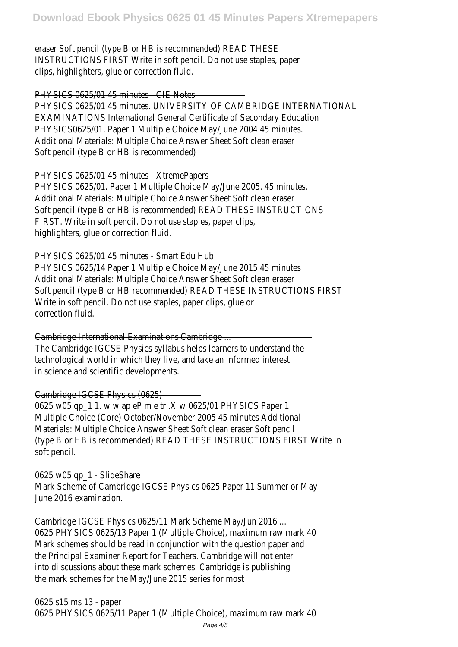eraser Soft pencil (type B or HB is recommended) READ THESE INSTRUCTIONS FIRST Write in soft pencil. Do not use staples, paper clips, highlighters, glue or correction fluid.

PHYSICS 0625/01 45 minutes CIE Notes PHYSICS 0625/01 45 minutes. UNIVERSITY OF CAMBRIDGE INTERNATIONAL EXAMINATIONS International General Certificate of Secondary Education PHYSICS0625/01. Paper 1 Multiple Choice May/June 2004 45 minutes. Additional Materials: Multiple Choice Answer Sheet Soft clean eraser Soft pencil (type B or HB is recommended)

PHYSICS 0625/01 45 minutes XtremePapers PHYSICS 0625/01. Paper 1 Multiple Choice May/June 2005. 45 minutes. Additional Materials: Multiple Choice Answer Sheet Soft clean eraser Soft pencil (type B or HB is recommended) READ THESE INSTRUCTIONS FIRST. Write in soft pencil. Do not use staples, paper clips, highlighters, glue or correction fluid.

PHYSICS 0625/01 45 minutes Smart Edu Hub

PHYSICS 0625/14 Paper 1 Multiple Choice May/June 2015 45 minutes Additional Materials: Multiple Choice Answer Sheet Soft clean eraser Soft pencil (type B or HB recommended) READ THESE INSTRUCTIONS FIRST Write in soft pencil. Do not use staples, paper clips, glue or correction fluid.

Cambridge International Examinations Cambridge ... The Cambridge IGCSE Physics syllabus helps learners to understand the technological world in which they live, and take an informed interest in science and scientific developments.

## Cambridge IGCSE Physics (0625)

0625 w05 qp\_1 1. w w ap eP m e tr .X w 0625/01 PHYSICS Paper 1 Multiple Choice (Core) October/November 2005 45 minutes Additional Materials: Multiple Choice Answer Sheet Soft clean eraser Soft pencil (type B or HB is recommended) READ THESE INSTRUCTIONS FIRST Write in soft pencil.

#### 0625 w05 ap 1 - SlideShare

Mark Scheme of Cambridge IGCSE Physics 0625 Paper 11 Summer or May June 2016 examination.

Cambridge IGCSE Physics 0625/11 Mark Scheme May/Jun 2016 ...

0625 PHYSICS 0625/13 Paper 1 (Multiple Choice), maximum raw mark 40 Mark schemes should be read in conjunction with the question paper and the Principal Examiner Report for Teachers. Cambridge will not enter into di scussions about these mark schemes. Cambridge is publishing the mark schemes for the May/June 2015 series for most